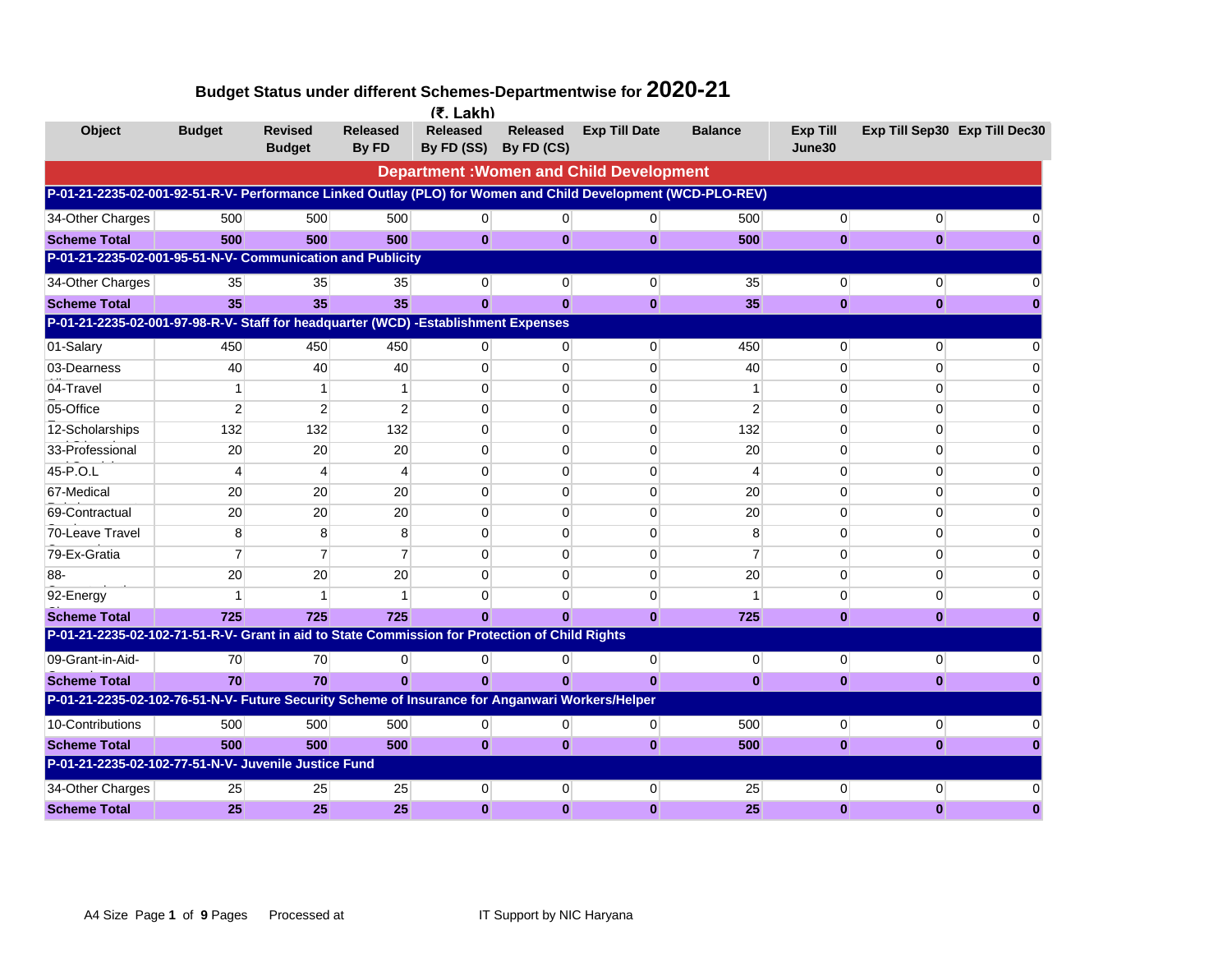|                                                                                                              |                |                                 |                          | $(5.$ Lakh)                   |                               |                                                |                |                           |                               |  |
|--------------------------------------------------------------------------------------------------------------|----------------|---------------------------------|--------------------------|-------------------------------|-------------------------------|------------------------------------------------|----------------|---------------------------|-------------------------------|--|
| <b>Object</b>                                                                                                | <b>Budget</b>  | <b>Revised</b><br><b>Budget</b> | <b>Released</b><br>By FD | <b>Released</b><br>By FD (SS) | <b>Released</b><br>By FD (CS) | <b>Exp Till Date</b>                           | <b>Balance</b> | <b>Exp Till</b><br>June30 | Exp Till Sep30 Exp Till Dec30 |  |
|                                                                                                              |                |                                 |                          |                               |                               | <b>Department: Women and Child Development</b> |                |                           |                               |  |
| P-01-21-2235-02-001-92-51-R-V- Performance Linked Outlay (PLO) for Women and Child Development (WCD-PLO-REV) |                |                                 |                          |                               |                               |                                                |                |                           |                               |  |
| 34-Other Charges                                                                                             | 500            | 500                             | 500                      | $\overline{0}$                | $\overline{0}$                | $\overline{0}$                                 | 500            | $\overline{0}$            | $\Omega$                      |  |
| <b>Scheme Total</b>                                                                                          | 500            | 500                             | 500                      | $\mathbf{0}$                  | $\mathbf{0}$                  | $\mathbf{0}$                                   | 500            | $\mathbf{0}$              | $\mathbf{0}$                  |  |
| P-01-21-2235-02-001-95-51-N-V- Communication and Publicity                                                   |                |                                 |                          |                               |                               |                                                |                |                           |                               |  |
| 34-Other Charges                                                                                             | 35             | 35                              | 35                       | $\overline{0}$                | $\mathbf{0}$                  | $\mathbf{0}$                                   | 35             | $\mathbf 0$               | $\Omega$                      |  |
| <b>Scheme Total</b>                                                                                          | 35             | 35                              | 35                       | $\Omega$                      | $\mathbf{0}$                  | $\bf{0}$                                       | 35             | $\mathbf{0}$              | $\mathbf{0}$                  |  |
| P-01-21-2235-02-001-97-98-R-V- Staff for headquarter (WCD) -Establishment Expenses                           |                |                                 |                          |                               |                               |                                                |                |                           |                               |  |
| 01-Salary                                                                                                    | 450            | 450                             | 450                      | 0                             | $\overline{0}$                | $\overline{0}$                                 | 450            | $\overline{0}$            | $\Omega$                      |  |
| 03-Dearness                                                                                                  | 40             | 40                              | 40                       | $\Omega$                      | $\mathbf 0$                   | $\mathbf 0$                                    | 40             | $\mathbf 0$               | $\Omega$                      |  |
| 04-Travel                                                                                                    | 1              | 1                               | 1                        | $\Omega$                      | $\Omega$                      | $\Omega$                                       | $\mathbf 1$    | $\Omega$                  | $\Omega$                      |  |
| 05-Office                                                                                                    | $\overline{2}$ | 2                               | $\overline{2}$           | $\Omega$                      | $\Omega$                      | 0                                              | $\overline{2}$ | $\Omega$                  | $\Omega$                      |  |
| 12-Scholarships                                                                                              | 132            | 132                             | 132                      | $\mathbf 0$                   | $\mathbf 0$                   | 0                                              | 132            | $\mathbf 0$               | $\Omega$                      |  |
| 33-Professional                                                                                              | 20             | 20                              | 20                       | $\Omega$                      | $\Omega$                      | $\mathbf{0}$                                   | 20             | $\Omega$                  | $\Omega$                      |  |
| 45-P.O.L                                                                                                     | 4              | 4                               | 4                        | 0                             | $\Omega$                      | 0                                              | $\overline{4}$ | 0                         | 0                             |  |
| 67-Medical                                                                                                   | 20             | 20                              | 20                       | $\Omega$                      | $\Omega$                      | 0                                              | 20             | 0                         | 0                             |  |
| 69-Contractual                                                                                               | 20             | 20                              | 20                       | $\Omega$                      | $\Omega$                      | $\Omega$                                       | 20             | $\Omega$                  | $\Omega$                      |  |
| 70-Leave Travel                                                                                              | 8              | 8                               | 8                        | $\Omega$                      | $\Omega$                      | 0                                              | 8              | $\Omega$                  | $\Omega$                      |  |
| 79-Ex-Gratia                                                                                                 | $\overline{7}$ | $\overline{7}$                  | $\overline{7}$           | $\Omega$                      | $\Omega$                      | $\Omega$                                       | $\overline{7}$ | $\Omega$                  | $\Omega$                      |  |
| 88-                                                                                                          | 20             | 20                              | 20                       | $\Omega$                      | $\Omega$                      | $\Omega$                                       | 20             | $\Omega$                  | $\Omega$                      |  |
| 92-Energy                                                                                                    |                |                                 |                          | O                             | $\Omega$                      | 0                                              | 1              | $\mathbf 0$               | $\Omega$                      |  |
| <b>Scheme Total</b>                                                                                          | 725            | 725                             | 725                      | $\Omega$                      | $\Omega$                      | $\mathbf{0}$                                   | 725            | $\bf{0}$                  | $\bf{0}$                      |  |
| P-01-21-2235-02-102-71-51-R-V- Grant in aid to State Commission for Protection of Child Rights               |                |                                 |                          |                               |                               |                                                |                |                           |                               |  |
| 09-Grant-in-Aid-                                                                                             | 70             | 70                              | $\overline{0}$           | $\overline{0}$                | $\overline{0}$                | $\overline{0}$                                 | $\overline{0}$ | $\overline{0}$            | $\overline{0}$                |  |
| <b>Scheme Total</b>                                                                                          | 70             | 70                              | $\bf{0}$                 | $\mathbf{0}$                  | $\mathbf{0}$                  | $\bf{0}$                                       | $\mathbf{0}$   | $\bf{0}$                  | $\mathbf{0}$                  |  |
| P-01-21-2235-02-102-76-51-N-V- Future Security Scheme of Insurance for Anganwari Workers/Helper              |                |                                 |                          |                               |                               |                                                |                |                           |                               |  |
| 10-Contributions                                                                                             | 500            | 500                             | 500                      | $\overline{0}$                | 0                             | $\mathbf 0$                                    | 500            | $\mathbf 0$               | $\overline{0}$                |  |
| <b>Scheme Total</b>                                                                                          | 500            | 500                             | 500                      | $\mathbf{0}$                  | $\mathbf{0}$                  | $\mathbf{0}$                                   | 500            | $\bf{0}$                  | $\mathbf{0}$                  |  |
| P-01-21-2235-02-102-77-51-N-V- Juvenile Justice Fund                                                         |                |                                 |                          |                               |                               |                                                |                |                           |                               |  |
| 34-Other Charges                                                                                             | 25             | 25                              | 25                       | $\mathbf{0}$                  | $\mathbf{0}$                  | $\mathbf{0}$                                   | 25             | $\mathbf{0}$              | $\Omega$                      |  |
| <b>Scheme Total</b>                                                                                          | 25             | 25                              | 25                       | $\mathbf{0}$                  | $\mathbf{0}$                  | $\bf{0}$                                       | 25             | $\mathbf{0}$              | $\bf{0}$                      |  |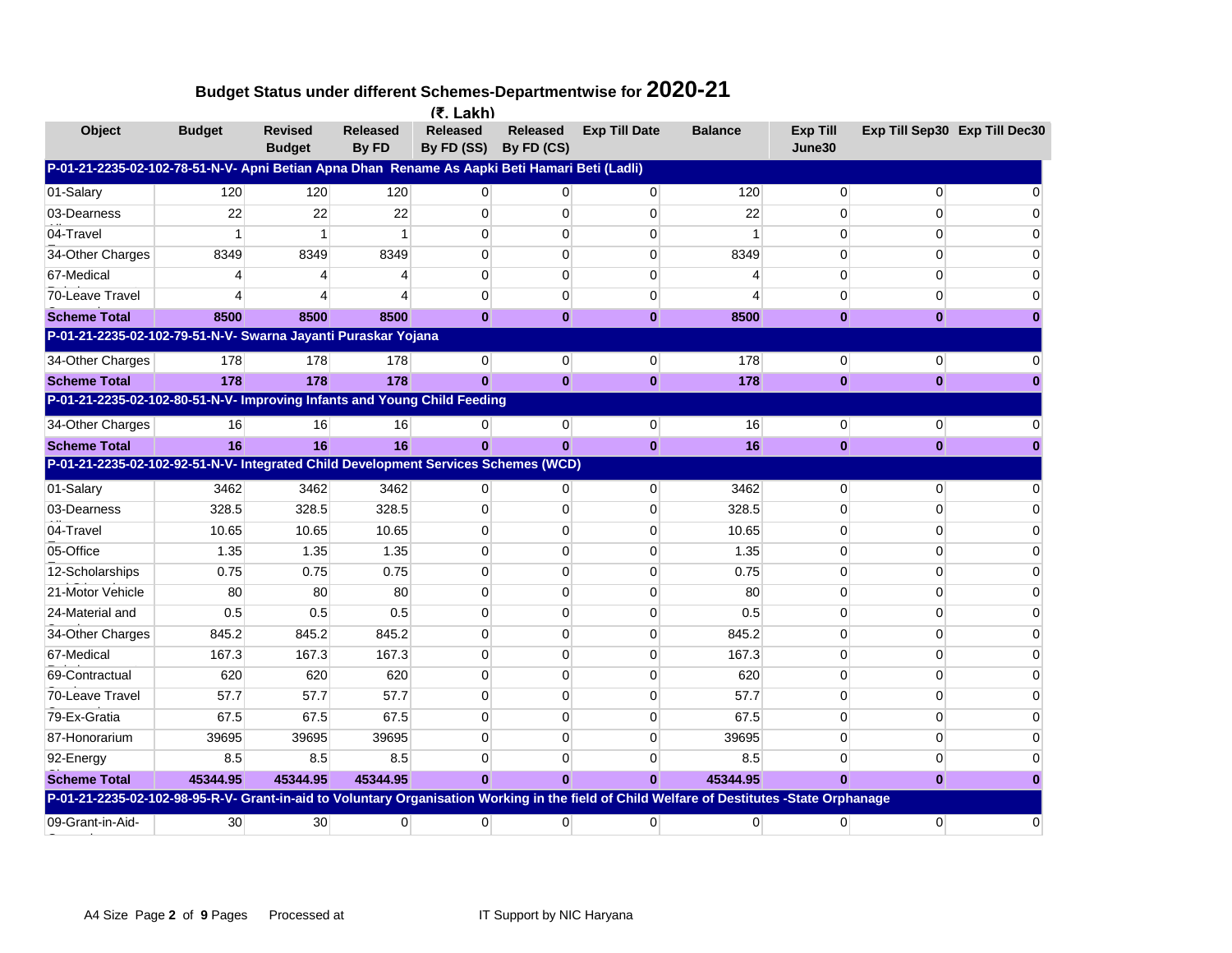|                                                                                                                                            |               |                                 |                          | $(5.$ Lakh)                   |                               |                      |                |                           |                |                               |
|--------------------------------------------------------------------------------------------------------------------------------------------|---------------|---------------------------------|--------------------------|-------------------------------|-------------------------------|----------------------|----------------|---------------------------|----------------|-------------------------------|
| Object                                                                                                                                     | <b>Budget</b> | <b>Revised</b><br><b>Budget</b> | <b>Released</b><br>By FD | <b>Released</b><br>By FD (SS) | <b>Released</b><br>By FD (CS) | <b>Exp Till Date</b> | <b>Balance</b> | <b>Exp Till</b><br>June30 |                | Exp Till Sep30 Exp Till Dec30 |
| P-01-21-2235-02-102-78-51-N-V- Apni Betian Apna Dhan Rename As Aapki Beti Hamari Beti (Ladli)                                              |               |                                 |                          |                               |                               |                      |                |                           |                |                               |
| 01-Salary                                                                                                                                  | 120           | 120                             | 120                      | $\Omega$                      | 0                             | $\overline{0}$       | 120            | $\mathbf 0$               | $\mathbf{0}$   |                               |
| 03-Dearness                                                                                                                                | 22            | 22                              | 22                       | $\Omega$                      | $\mathbf 0$                   | $\mathbf 0$          | 22             | 0                         | $\Omega$       |                               |
| 04-Travel                                                                                                                                  | 1             |                                 |                          | $\mathbf{0}$                  | 0                             | $\mathbf 0$          | 1              | 0                         | 0              |                               |
| 34-Other Charges                                                                                                                           | 8349          | 8349                            | 8349                     | $\Omega$                      | $\Omega$                      | $\mathbf 0$          | 8349           | 0                         | $\Omega$       |                               |
| 67-Medical                                                                                                                                 | 4             |                                 |                          | $\Omega$                      | $\Omega$                      | $\Omega$             | 4              | $\mathbf 0$               | $\Omega$       |                               |
| 70-Leave Travel                                                                                                                            | 4             |                                 |                          | $\overline{0}$                | $\mathbf 0$                   | 0                    | $\overline{4}$ | $\mathbf 0$               | $\mathbf 0$    |                               |
| <b>Scheme Total</b>                                                                                                                        | 8500          | 8500                            | 8500                     | $\bf{0}$                      | $\bf{0}$                      | $\bf{0}$             | 8500           | $\bf{0}$                  | $\bf{0}$       |                               |
| P-01-21-2235-02-102-79-51-N-V- Swarna Jayanti Puraskar Yojana                                                                              |               |                                 |                          |                               |                               |                      |                |                           |                |                               |
| 34-Other Charges                                                                                                                           | 178           | 178                             | 178                      | $\overline{0}$                | $\mathbf 0$                   | 0                    | 178            | 0                         | $\overline{0}$ |                               |
| <b>Scheme Total</b>                                                                                                                        | 178           | 178                             | 178                      | $\bf{0}$                      | $\bf{0}$                      | $\bf{0}$             | 178            | $\bf{0}$                  | $\bf{0}$       |                               |
| P-01-21-2235-02-102-80-51-N-V- Improving Infants and Young Child Feeding                                                                   |               |                                 |                          |                               |                               |                      |                |                           |                |                               |
| 34-Other Charges                                                                                                                           | 16            | 16                              | 16                       | $\overline{0}$                | $\mathbf{0}$                  | $\overline{0}$       | 16             | $\mathbf{0}$              | $\overline{0}$ |                               |
| <b>Scheme Total</b>                                                                                                                        | 16            | 16                              | 16                       | $\bf{0}$                      | $\bf{0}$                      | $\bf{0}$             | 16             | $\bf{0}$                  | $\bf{0}$       |                               |
| P-01-21-2235-02-102-92-51-N-V- Integrated Child Development Services Schemes (WCD)                                                         |               |                                 |                          |                               |                               |                      |                |                           |                |                               |
| 01-Salary                                                                                                                                  | 3462          | 3462                            | 3462                     | $\mathbf{0}$                  | 0                             | 0                    | 3462           | 0                         | 0              |                               |
| 03-Dearness                                                                                                                                | 328.5         | 328.5                           | 328.5                    | $\Omega$                      | $\Omega$                      | $\Omega$             | 328.5          | $\Omega$                  | $\Omega$       |                               |
| 04-Travel                                                                                                                                  | 10.65         | 10.65                           | 10.65                    | $\Omega$                      | 0                             | $\mathbf 0$          | 10.65          | 0                         | $\Omega$       |                               |
| 05-Office                                                                                                                                  | 1.35          | 1.35                            | 1.35                     | $\Omega$                      | $\Omega$                      | $\mathbf 0$          | 1.35           | $\mathbf 0$               | $\Omega$       |                               |
| 12-Scholarships                                                                                                                            | 0.75          | 0.75                            | 0.75                     | $\overline{0}$                | $\Omega$                      | $\mathbf 0$          | 0.75           | $\Omega$                  | $\Omega$       |                               |
| 21-Motor Vehicle                                                                                                                           | 80            | 80                              | 80                       | $\Omega$                      | 0                             | $\mathbf 0$          | 80             | $\Omega$                  | $\Omega$       | U                             |
| 24-Material and                                                                                                                            | 0.5           | 0.5                             | 0.5                      | $\Omega$                      | $\Omega$                      | $\Omega$             | 0.5            | $\Omega$                  | $\Omega$       | U                             |
| 34-Other Charges                                                                                                                           | 845.2         | 845.2                           | 845.2                    | $\Omega$                      | $\Omega$                      | $\mathbf 0$          | 845.2          | 0                         | $\Omega$       | U                             |
| 67-Medical                                                                                                                                 | 167.3         | 167.3                           | 167.3                    | $\overline{0}$                | $\mathbf 0$                   | $\mathbf 0$          | 167.3          | 0                         | 0              | 0                             |
| 69-Contractual                                                                                                                             | 620           | 620                             | 620                      | $\Omega$                      | $\Omega$                      | $\Omega$             | 620            | $\Omega$                  | $\Omega$       | O                             |
| 70-Leave Travel                                                                                                                            | 57.7          | 57.7                            | 57.7                     | $\Omega$                      | $\Omega$                      | 0                    | 57.7           | $\Omega$                  | $\Omega$       |                               |
| 79-Ex-Gratia                                                                                                                               | 67.5          | 67.5                            | 67.5                     | $\Omega$                      | $\Omega$                      | $\mathbf 0$          | 67.5           | $\Omega$                  | $\Omega$       |                               |
| 87-Honorarium                                                                                                                              | 39695         | 39695                           | 39695                    | $\mathbf{0}$                  | 0                             | $\mathbf 0$          | 39695          | 0                         | $\Omega$       |                               |
| 92-Energy                                                                                                                                  | 8.5           | 8.5                             | 8.5                      | $\mathbf{0}$                  | 0                             | 0                    | 8.5            | 0                         | $\mathbf 0$    |                               |
| <b>Scheme Total</b>                                                                                                                        | 45344.95      | 45344.95                        | 45344.95                 | $\bf{0}$                      | $\bf{0}$                      | $\bf{0}$             | 45344.95       | $\bf{0}$                  | $\bf{0}$       |                               |
| P-01-21-2235-02-102-98-95-R-V- Grant-in-aid to Voluntary Organisation Working in the field of Child Welfare of Destitutes -State Orphanage |               |                                 |                          |                               |                               |                      |                |                           |                |                               |
| 09-Grant-in-Aid-                                                                                                                           | 30            | 30                              | $\Omega$                 | $\Omega$                      | $\Omega$                      | $\overline{0}$       | $\overline{0}$ | $\overline{0}$            | $\Omega$       | O                             |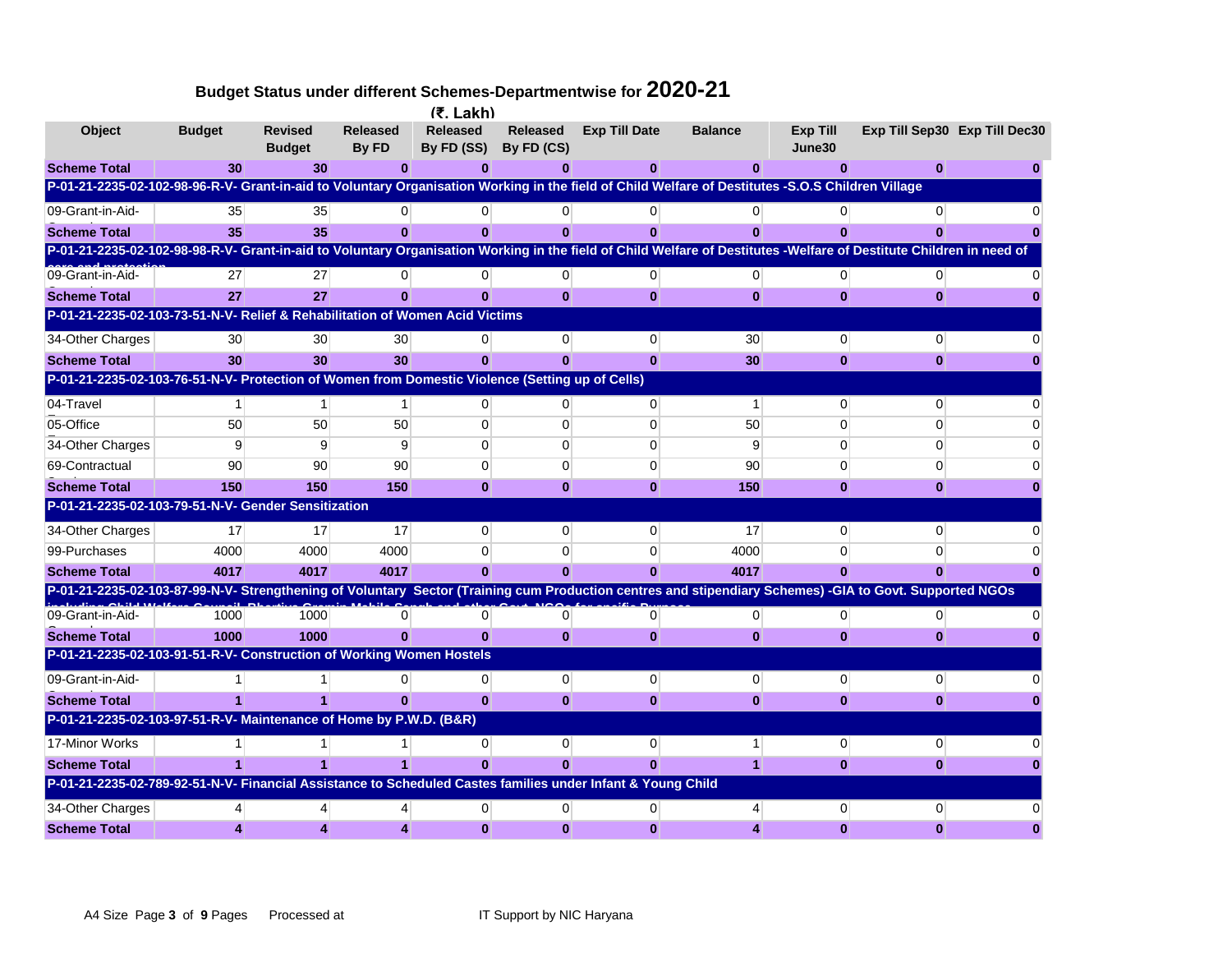|                                                                                                                                                                     |               |                                 |                          | $(7.$ Lakh)                   |                               |                      |                |                    |              |                               |
|---------------------------------------------------------------------------------------------------------------------------------------------------------------------|---------------|---------------------------------|--------------------------|-------------------------------|-------------------------------|----------------------|----------------|--------------------|--------------|-------------------------------|
| <b>Object</b>                                                                                                                                                       | <b>Budget</b> | <b>Revised</b><br><b>Budget</b> | <b>Released</b><br>By FD | <b>Released</b><br>By FD (SS) | <b>Released</b><br>By FD (CS) | <b>Exp Till Date</b> | <b>Balance</b> | Exp Till<br>June30 |              | Exp Till Sep30 Exp Till Dec30 |
| <b>Scheme Total</b>                                                                                                                                                 | 30            | 30 <sup>°</sup>                 | 0                        | 0                             | 0                             | 0                    | 0              | 0                  | $\bf{0}$     |                               |
| P-01-21-2235-02-102-98-96-R-V- Grant-in-aid to Voluntary Organisation Working in the field of Child Welfare of Destitutes -S.O.S Children Village                   |               |                                 |                          |                               |                               |                      |                |                    |              |                               |
| 09-Grant-in-Aid-                                                                                                                                                    | 35            | 35                              | $\Omega$                 | $\Omega$                      | $\Omega$                      | $\Omega$             | 0              |                    | $\Omega$     |                               |
| <b>Scheme Total</b>                                                                                                                                                 | 35            | 35 <sub>5</sub>                 | U                        | n                             | O                             | O                    | $\bf{0}$       |                    |              |                               |
| P-01-21-2235-02-102-98-98-R-V- Grant-in-aid to Voluntary Organisation Working in the field of Child Welfare of Destitutes -Welfare of Destitute Children in need of |               |                                 |                          |                               |                               |                      |                |                    |              |                               |
| 09-Grant-in-Aid-                                                                                                                                                    | 27            | 27                              | $\Omega$                 | 0                             | 0                             | $\overline{0}$       | 0              | $\Omega$           | 0            |                               |
| <b>Scheme Total</b>                                                                                                                                                 | 27            | 27                              | $\bf{0}$                 | $\bf{0}$                      | $\bf{0}$                      | $\bf{0}$             | $\bf{0}$       | $\bf{0}$           | $\mathbf{0}$ |                               |
| P-01-21-2235-02-103-73-51-N-V- Relief & Rehabilitation of Women Acid Victims                                                                                        |               |                                 |                          |                               |                               |                      |                |                    |              |                               |
| 34-Other Charges                                                                                                                                                    | 30            | 30                              | 30                       | 0                             | 0                             | 0                    | 30             | $\Omega$           |              |                               |
| <b>Scheme Total</b>                                                                                                                                                 | 30            | 30 <sup>°</sup>                 | 30                       | $\mathbf{0}$                  | $\mathbf{0}$                  | $\bf{0}$             | 30             | $\bf{0}$           | $\mathbf{0}$ |                               |
| P-01-21-2235-02-103-76-51-N-V- Protection of Women from Domestic Violence (Setting up of Cells)                                                                     |               |                                 |                          |                               |                               |                      |                |                    |              |                               |
| 04-Travel                                                                                                                                                           | 1             | 1                               | 1                        | 0                             | 0                             | $\Omega$             | 1              | $\Omega$           | 0            |                               |
| 05-Office                                                                                                                                                           | 50            | 50                              | 50                       | 0                             | 0                             | $\Omega$             | 50             | 0                  | ∩            |                               |
| 34-Other Charges                                                                                                                                                    | 9             | 9                               | 9                        | $\Omega$                      | 0                             | $\Omega$             | 9              | $\Omega$           | $\Omega$     |                               |
| 69-Contractual                                                                                                                                                      | 90            | 90                              | 90                       | 0                             | 0                             | $\mathbf 0$          | 90             | $\Omega$           | 0            |                               |
| <b>Scheme Total</b>                                                                                                                                                 | 150           | 150                             | 150                      | $\bf{0}$                      | $\bf{0}$                      | $\bf{0}$             | 150            | $\bf{0}$           | $\bf{0}$     |                               |
| P-01-21-2235-02-103-79-51-N-V- Gender Sensitization                                                                                                                 |               |                                 |                          |                               |                               |                      |                |                    |              |                               |
| 34-Other Charges                                                                                                                                                    | 17            | 17                              | 17                       | 0                             | 0                             | $\Omega$             | 17             | 0                  | 0            |                               |
| 99-Purchases                                                                                                                                                        | 4000          | 4000                            | 4000                     | 0                             | 0                             | $\Omega$             | 4000           | $\Omega$           | <sup>0</sup> |                               |
| <b>Scheme Total</b>                                                                                                                                                 | 4017          | 4017                            | 4017                     | $\Omega$                      | $\Omega$                      | O                    | 4017           | n                  |              |                               |
| P-01-21-2235-02-103-87-99-N-V- Strengthening of Voluntary Sector (Training cum Production centres and stipendiary Schemes) -GIA to Govt. Supported NGOs             |               |                                 |                          |                               |                               |                      |                |                    |              |                               |
| 09-Grant-in-Aid-                                                                                                                                                    | 1000          | 1000                            | 0                        | 0                             | 0                             | 0                    | $\overline{0}$ | $\overline{0}$     | 0            |                               |
| <b>Scheme Total</b>                                                                                                                                                 | 1000          | 1000                            | $\Omega$                 | $\mathbf{0}$                  | $\bf{0}$                      | $\bf{0}$             | $\bf{0}$       | $\bf{0}$           | $\mathbf{0}$ |                               |
| P-01-21-2235-02-103-91-51-R-V- Construction of Working Women Hostels                                                                                                |               |                                 |                          |                               |                               |                      |                |                    |              |                               |
| 09-Grant-in-Aid-                                                                                                                                                    |               |                                 | U                        | $\Omega$                      | 0                             | $\overline{0}$       | 0              | $\Omega$           | 0            |                               |
| <b>Scheme Total</b>                                                                                                                                                 |               |                                 |                          | $\mathbf{0}$                  | $\mathbf{0}$                  | $\mathbf{0}$         | $\bf{0}$       | $\bf{0}$           | $\bf{0}$     |                               |
| P-01-21-2235-02-103-97-51-R-V- Maintenance of Home by P.W.D. (B&R)                                                                                                  |               |                                 |                          |                               |                               |                      |                |                    |              |                               |
| 17-Minor Works                                                                                                                                                      |               |                                 |                          | 0                             | $\Omega$                      | $\overline{0}$       | 1              | $\Omega$           | 0            |                               |
| <b>Scheme Total</b>                                                                                                                                                 |               |                                 |                          | O                             | O                             | ŋ                    | 1              | $\mathbf{0}$       | $\mathbf{0}$ |                               |
| P-01-21-2235-02-789-92-51-N-V- Financial Assistance to Scheduled Castes families under Infant & Young Child                                                         |               |                                 |                          |                               |                               |                      |                |                    |              |                               |
| 34-Other Charges                                                                                                                                                    |               |                                 |                          |                               | n                             | 0                    |                | $\Omega$           |              |                               |
| <b>Scheme Total</b>                                                                                                                                                 |               |                                 |                          | $\bf{0}$                      | $\bf{0}$                      | O                    |                | n                  |              |                               |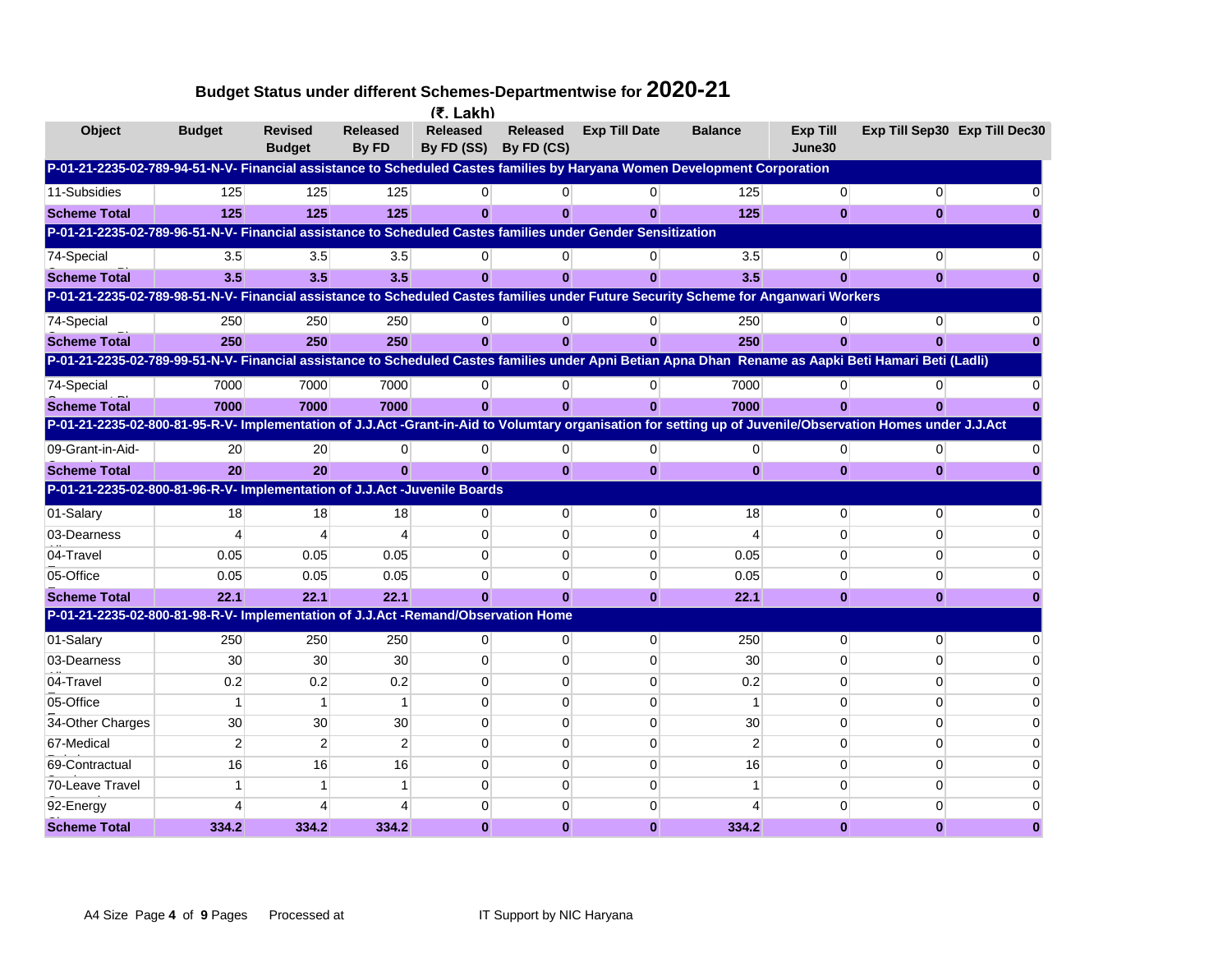|                                                                                                                                                             |                |                                 |                          | (₹. Lakh)                     |                               |                      |                |                           |                |                               |
|-------------------------------------------------------------------------------------------------------------------------------------------------------------|----------------|---------------------------------|--------------------------|-------------------------------|-------------------------------|----------------------|----------------|---------------------------|----------------|-------------------------------|
| <b>Object</b>                                                                                                                                               | <b>Budget</b>  | <b>Revised</b><br><b>Budget</b> | <b>Released</b><br>By FD | <b>Released</b><br>By FD (SS) | <b>Released</b><br>By FD (CS) | <b>Exp Till Date</b> | <b>Balance</b> | <b>Exp Till</b><br>June30 |                | Exp Till Sep30 Exp Till Dec30 |
| P-01-21-2235-02-789-94-51-N-V- Financial assistance to Scheduled Castes families by Haryana Women Development Corporation                                   |                |                                 |                          |                               |                               |                      |                |                           |                |                               |
| 11-Subsidies                                                                                                                                                | 125            | 125                             | 125                      | $\Omega$                      |                               | 0                    | 125            | 0                         | $\overline{0}$ |                               |
| <b>Scheme Total</b>                                                                                                                                         | 125            | 125                             | 125                      | $\bf{0}$                      | $\mathbf{0}$                  | $\bf{0}$             | 125            | $\bf{0}$                  | $\mathbf{0}$   |                               |
| P-01-21-2235-02-789-96-51-N-V- Financial assistance to Scheduled Castes families under Gender Sensitization                                                 |                |                                 |                          |                               |                               |                      |                |                           |                |                               |
| 74-Special                                                                                                                                                  | 3.5            | 3.5                             | 3.5                      | 0                             | 0                             | 0                    | 3.5            | $\Omega$                  | $\Omega$       |                               |
| <b>Scheme Total</b>                                                                                                                                         | 3.5            | 3.5                             | 3.5                      | $\Omega$                      | $\bf{0}$                      | $\bf{0}$             | 3.5            | $\Omega$                  | $\mathbf{0}$   |                               |
| P-01-21-2235-02-789-98-51-N-V- Financial assistance to Scheduled Castes families under Future Security Scheme for Anganwari Workers                         |                |                                 |                          |                               |                               |                      |                |                           |                |                               |
| 74-Special                                                                                                                                                  | 250            | 250                             | 250                      | $\Omega$                      | $\Omega$                      | $\overline{0}$       | 250            | $\overline{0}$            | $\Omega$       |                               |
| <b>Scheme Total</b>                                                                                                                                         | 250            | 250                             | 250                      | $\bf{0}$                      | $\mathbf{0}$                  | $\mathbf{0}$         | 250            | $\mathbf{0}$              |                |                               |
| P-01-21-2235-02-789-99-51-N-V- Financial assistance to Scheduled Castes families under Apni Betian Apna Dhan Rename as Aapki Beti Hamari Beti (Ladli)       |                |                                 |                          |                               |                               |                      |                |                           |                |                               |
| 74-Special                                                                                                                                                  | 7000           | 7000                            | 7000                     | $\Omega$                      | 0                             | 0                    | 7000           | 0                         | 0              |                               |
| <b>Scheme Total</b>                                                                                                                                         | 7000           | 7000                            | 7000                     |                               | ŋ,                            | $\mathbf{0}$         | 7000           |                           |                |                               |
| P-01-21-2235-02-800-81-95-R-V- Implementation of J.J.Act -Grant-in-Aid to Volumtary organisation for setting up of Juvenile/Observation Homes under J.J.Act |                |                                 |                          |                               |                               |                      |                |                           |                |                               |
| 09-Grant-in-Aid-                                                                                                                                            | 20             | 20                              | $\Omega$                 | $\Omega$                      | $\overline{0}$                | $\mathbf 0$          | $\overline{0}$ | 0                         | $\mathbf{0}$   |                               |
| <b>Scheme Total</b>                                                                                                                                         | 20             | 20                              | $\bf{0}$                 | $\bf{0}$                      | $\mathbf{0}$                  | $\bf{0}$             | $\bf{0}$       | $\mathbf{0}$              | $\bf{0}$       |                               |
| P-01-21-2235-02-800-81-96-R-V- Implementation of J.J.Act -Juvenile Boards                                                                                   |                |                                 |                          |                               |                               |                      |                |                           |                |                               |
| 01-Salary                                                                                                                                                   | 18             | 18                              | 18                       | $\Omega$                      | $\Omega$                      | $\overline{0}$       | 18             | $\Omega$                  | $\Omega$       |                               |
| 03-Dearness                                                                                                                                                 | $\overline{4}$ | Δ                               | Δ                        | $\mathbf{0}$                  | $\mathbf 0$                   | 0                    | $\overline{4}$ | 0                         | 0              |                               |
| 04-Travel                                                                                                                                                   | 0.05           | 0.05                            | 0.05                     | $\Omega$                      | $\mathbf 0$                   | $\mathbf 0$          | 0.05           | $\mathbf 0$               | $\Omega$       |                               |
| 05-Office                                                                                                                                                   | 0.05           | 0.05                            | 0.05                     | $\Omega$                      | $\Omega$                      | 0                    | 0.05           | $\Omega$                  | $\Omega$       |                               |
| <b>Scheme Total</b>                                                                                                                                         | 22.1           | 22.1                            | 22.1                     | $\bf{0}$                      | $\bf{0}$                      | $\bf{0}$             | 22.1           | $\bf{0}$                  | $\bf{0}$       |                               |
| P-01-21-2235-02-800-81-98-R-V- Implementation of J.J.Act -Remand/Observation Home                                                                           |                |                                 |                          |                               |                               |                      |                |                           |                |                               |
| 01-Salary                                                                                                                                                   | 250            | 250                             | 250                      | $\overline{0}$                | 0                             | $\mathbf 0$          | 250            | $\mathbf 0$               | $\Omega$       |                               |
| 03-Dearness                                                                                                                                                 | 30             | 30                              | 30                       | $\Omega$                      | $\mathbf 0$                   | 0                    | 30             | $\Omega$                  | $\Omega$       |                               |
| 04-Travel                                                                                                                                                   | 0.2            | 0.2                             | 0.2                      | $\Omega$                      | $\Omega$                      | $\Omega$             | 0.2            | $\Omega$                  | $\Omega$       |                               |
| 05-Office                                                                                                                                                   | $\mathbf{1}$   | -1                              | 1                        | $\Omega$                      | $\Omega$                      | 0                    | -1             | $\Omega$                  | $\Omega$       |                               |
| 34-Other Charges                                                                                                                                            | 30             | 30                              | 30                       | $\Omega$                      | $\Omega$                      | 0                    | 30             | $\Omega$                  | $\Omega$       |                               |
| 67-Medical                                                                                                                                                  | $\overline{2}$ | $\overline{2}$                  | $\overline{2}$           | $\Omega$                      | $\Omega$                      | 0                    | $\overline{2}$ | 0                         | $\Omega$       |                               |
| 69-Contractual                                                                                                                                              | 16             | 16                              | 16                       | $\Omega$                      | $\Omega$                      | $\mathbf 0$          | 16             | $\Omega$                  | $\Omega$       |                               |
| 70-Leave Travel                                                                                                                                             |                |                                 |                          | $\Omega$                      | O                             | 0                    |                | $\Omega$                  | $\Omega$       |                               |
| 92-Energy                                                                                                                                                   |                |                                 |                          |                               |                               | 0                    |                | 0                         |                |                               |
| <b>Scheme Total</b>                                                                                                                                         | 334.2          | 334.2                           | 334.2                    | $\bf{0}$                      | $\bf{0}$                      | $\bf{0}$             | 334.2          | $\bf{0}$                  | $\bf{0}$       |                               |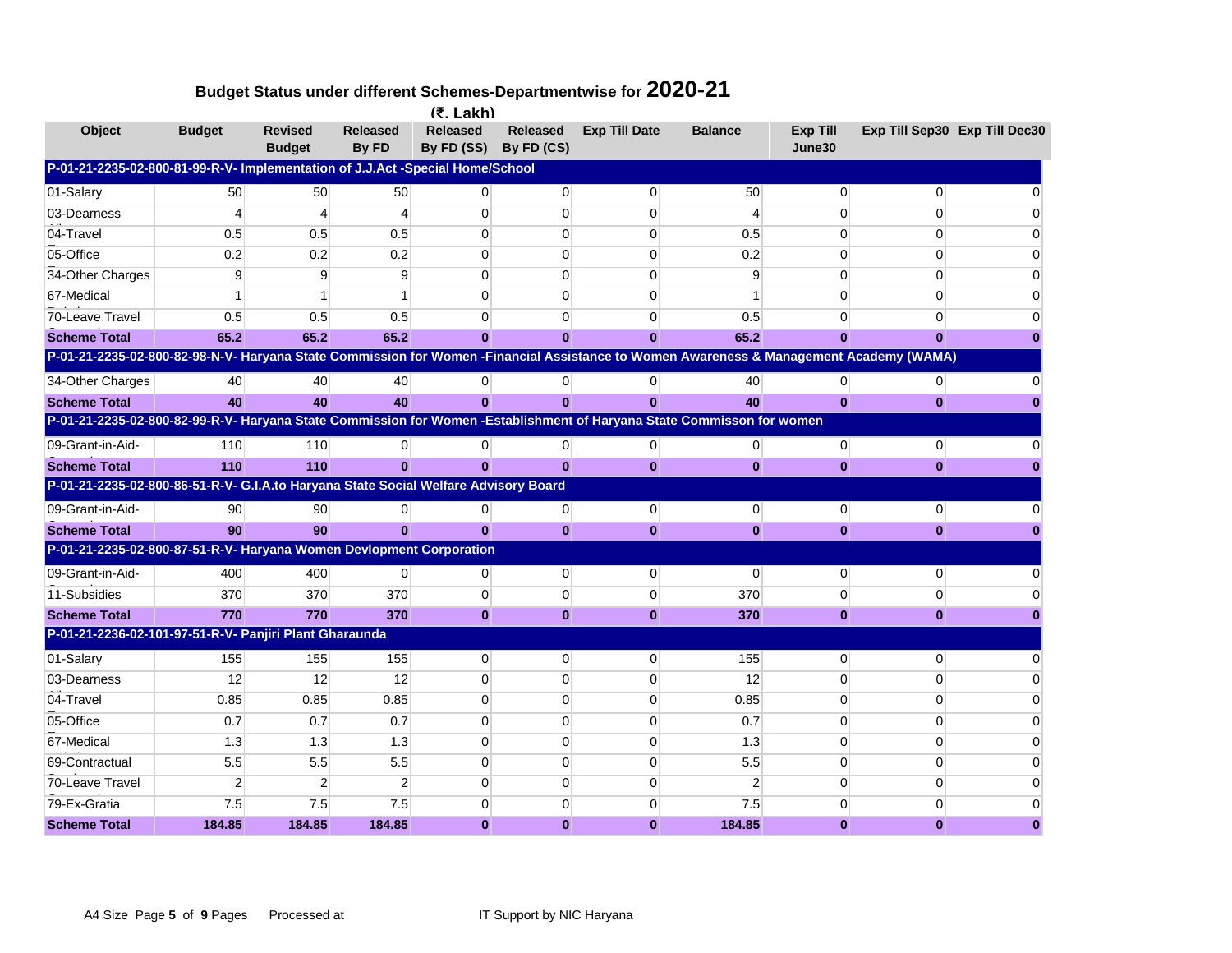|                                                                                                                                        |                |                                 |                          | $(5.$ Lakh)                   |                               |                      |                |                           |                |                               |
|----------------------------------------------------------------------------------------------------------------------------------------|----------------|---------------------------------|--------------------------|-------------------------------|-------------------------------|----------------------|----------------|---------------------------|----------------|-------------------------------|
| Object                                                                                                                                 | <b>Budget</b>  | <b>Revised</b><br><b>Budget</b> | <b>Released</b><br>By FD | <b>Released</b><br>By FD (SS) | <b>Released</b><br>By FD (CS) | <b>Exp Till Date</b> | <b>Balance</b> | <b>Exp Till</b><br>June30 |                | Exp Till Sep30 Exp Till Dec30 |
| P-01-21-2235-02-800-81-99-R-V- Implementation of J.J.Act -Special Home/School                                                          |                |                                 |                          |                               |                               |                      |                |                           |                |                               |
| 01-Salary                                                                                                                              | 50             | 50                              | 50                       | 0                             | $\overline{0}$                | $\mathbf 0$          | 50             | $\Omega$                  | $\Omega$       |                               |
| 03-Dearness                                                                                                                            | 4              | 4                               | 4                        | $\Omega$                      | $\Omega$                      | $\Omega$             | $\overline{4}$ | $\Omega$                  | $\Omega$       |                               |
| 04-Travel                                                                                                                              | 0.5            | 0.5                             | 0.5                      | 0                             | 0                             | 0                    | 0.5            | 0                         | $\overline{0}$ |                               |
| 05-Office                                                                                                                              | 0.2            | 0.2                             | 0.2                      | $\Omega$                      | $\Omega$                      | $\Omega$             | 0.2            | $\Omega$                  | $\Omega$       |                               |
| 34-Other Charges                                                                                                                       | 9              | 9                               | 9                        | $\overline{0}$                | 0                             | 0                    | 9              | 0                         | $\Omega$       |                               |
| 67-Medical                                                                                                                             | -1             |                                 |                          | $\Omega$                      | $\Omega$                      | 0                    |                | $\Omega$                  | 0              |                               |
| 70-Leave Travel                                                                                                                        | 0.5            | 0.5                             | 0.5                      | 0                             | $\Omega$                      | 0                    | 0.5            | 0                         | $\Omega$       |                               |
| <b>Scheme Total</b>                                                                                                                    | 65.2           | 65.2                            | 65.2                     | $\bf{0}$                      | $\bf{0}$                      | $\bf{0}$             | 65.2           | $\Omega$                  | $\Omega$       |                               |
| P-01-21-2235-02-800-82-98-N-V- Haryana State Commission for Women -Financial Assistance to Women Awareness & Management Academy (WAMA) |                |                                 |                          |                               |                               |                      |                |                           |                |                               |
| 34-Other Charges                                                                                                                       | 40             | 40                              | 40                       | $\overline{0}$                | $\overline{0}$                | $\mathbf 0$          | 40             | $\overline{0}$            | $\overline{0}$ |                               |
| <b>Scheme Total</b>                                                                                                                    | 40             | 40                              | 40                       | $\mathbf{0}$                  | $\mathbf{0}$                  | $\bf{0}$             | 40             | $\bf{0}$                  | $\bf{0}$       |                               |
| P-01-21-2235-02-800-82-99-R-V- Haryana State Commission for Women -Establishment of Haryana State Commisson for women                  |                |                                 |                          |                               |                               |                      |                |                           |                |                               |
| 09-Grant-in-Aid-                                                                                                                       | 110            | 110                             | $\mathbf{0}$             | 0                             | $\overline{0}$                | $\mathbf{0}$         | $\mathbf{0}$   | $\mathbf 0$               | $\overline{0}$ |                               |
| <b>Scheme Total</b>                                                                                                                    | 110            | 110                             |                          |                               | $\mathbf{0}$                  | $\bf{0}$             | $\mathbf{0}$   | $\bf{0}$                  | $\bf{0}$       |                               |
| P-01-21-2235-02-800-86-51-R-V- G.I.A.to Haryana State Social Welfare Advisory Board                                                    |                |                                 |                          |                               |                               |                      |                |                           |                |                               |
| 09-Grant-in-Aid-                                                                                                                       | 90             | 90                              | 0                        | $\overline{0}$                | $\overline{0}$                | $\mathbf{0}$         | $\overline{0}$ | $\overline{0}$            | $\overline{0}$ |                               |
| <b>Scheme Total</b>                                                                                                                    | 90             | 90                              | $\bf{0}$                 | $\bf{0}$                      | $\bf{0}$                      | $\bf{0}$             | $\mathbf{0}$   | $\bf{0}$                  | $\bf{0}$       |                               |
| P-01-21-2235-02-800-87-51-R-V- Haryana Women Devlopment Corporation                                                                    |                |                                 |                          |                               |                               |                      |                |                           |                |                               |
| 09-Grant-in-Aid-                                                                                                                       | 400            | 400                             | 0                        | 0                             | $\overline{0}$                | $\mathbf 0$          | 0              | $\mathbf 0$               | $\overline{0}$ |                               |
| 11-Subsidies                                                                                                                           | 370            | 370                             | 370                      | $\mathbf{0}$                  | $\mathbf 0$                   | 0                    | 370            | $\mathbf 0$               | $\Omega$       |                               |
| <b>Scheme Total</b>                                                                                                                    | 770            | 770                             | 370                      | $\bf{0}$                      | $\bf{0}$                      | $\bf{0}$             | 370            | $\bf{0}$                  | $\mathbf{0}$   |                               |
| P-01-21-2236-02-101-97-51-R-V- Panjiri Plant Gharaunda                                                                                 |                |                                 |                          |                               |                               |                      |                |                           |                |                               |
| 01-Salary                                                                                                                              | 155            | 155                             | 155                      | $\overline{0}$                | $\overline{0}$                | $\overline{0}$       | 155            | $\overline{0}$            | $\Omega$       |                               |
| 03-Dearness                                                                                                                            | 12             | 12                              | 12                       | $\mathbf{0}$                  | $\mathbf 0$                   | 0                    | 12             | 0                         | $\Omega$       |                               |
| 04-Travel                                                                                                                              | 0.85           | 0.85                            | 0.85                     | $\Omega$                      | $\mathbf 0$                   | 0                    | 0.85           | 0                         | $\Omega$       |                               |
| 05-Office                                                                                                                              | 0.7            | 0.7                             | 0.7                      | $\Omega$                      | $\mathbf 0$                   | 0                    | 0.7            | 0                         | $\Omega$       |                               |
| 67-Medical                                                                                                                             | 1.3            | 1.3                             | 1.3                      | $\Omega$                      | $\Omega$                      | 0                    | 1.3            | 0                         | 0              |                               |
| 69-Contractual                                                                                                                         | 5.5            | 5.5                             | 5.5                      | $\mathbf{0}$                  | $\mathbf 0$                   | 0                    | 5.5            | $\mathbf 0$               | $\Omega$       |                               |
| 70-Leave Travel                                                                                                                        | $\overline{2}$ | 2                               | $\overline{2}$           | $\overline{0}$                | 0                             | 0                    | $\overline{2}$ | $\overline{0}$            | $\Omega$       |                               |
| 79-Ex-Gratia                                                                                                                           | 7.5            | 7.5                             | 7.5                      | 0                             | $\Omega$                      | 0                    | 7.5            | 0                         | 0              |                               |
| <b>Scheme Total</b>                                                                                                                    | 184.85         | 184.85                          | 184.85                   | $\bf{0}$                      | $\bf{0}$                      | $\bf{0}$             | 184.85         | $\bf{0}$                  | $\bf{0}$       | 0                             |
|                                                                                                                                        |                |                                 |                          |                               |                               |                      |                |                           |                |                               |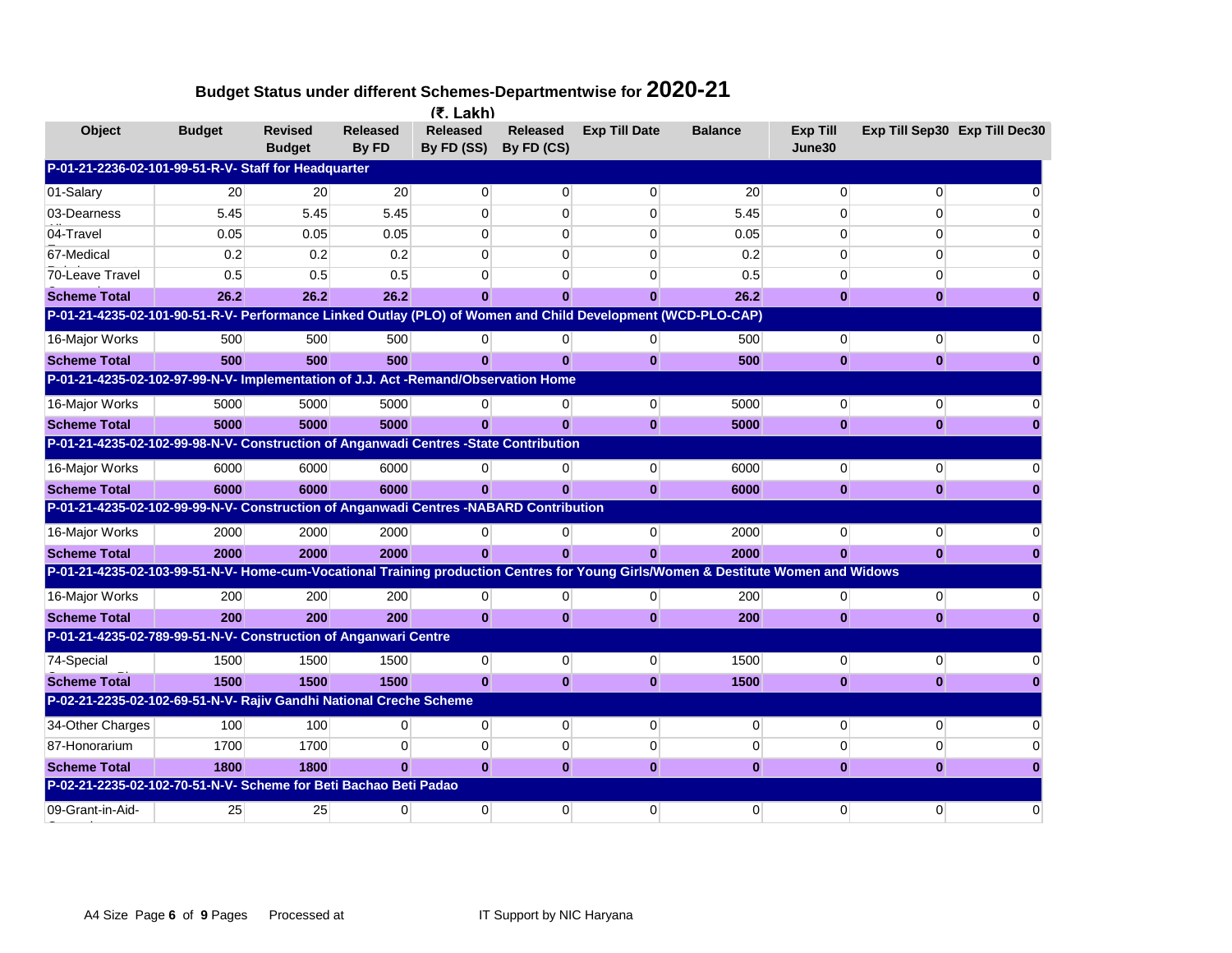|                                                                                                                                   |               |                                 |                   | $(5.$ Lakh)                   |                               |                      |                 |                    |                |                               |
|-----------------------------------------------------------------------------------------------------------------------------------|---------------|---------------------------------|-------------------|-------------------------------|-------------------------------|----------------------|-----------------|--------------------|----------------|-------------------------------|
| <b>Object</b>                                                                                                                     | <b>Budget</b> | <b>Revised</b><br><b>Budget</b> | Released<br>By FD | <b>Released</b><br>By FD (SS) | <b>Released</b><br>By FD (CS) | <b>Exp Till Date</b> | <b>Balance</b>  | Exp Till<br>June30 |                | Exp Till Sep30 Exp Till Dec30 |
| P-01-21-2236-02-101-99-51-R-V- Staff for Headquarter                                                                              |               |                                 |                   |                               |                               |                      |                 |                    |                |                               |
| 01-Salary                                                                                                                         | 20            | 20                              | 20                | $\Omega$                      | $\overline{0}$                | $\overline{0}$       | 20 <sup>°</sup> | $\overline{0}$     | $\Omega$       | ი                             |
| 03-Dearness                                                                                                                       | 5.45          | 5.45                            | 5.45              | $\overline{0}$                | 0                             | 0                    | 5.45            | $\mathbf 0$        | 0              |                               |
| 04-Travel                                                                                                                         | 0.05          | 0.05                            | 0.05              | $\overline{0}$                | 0                             | $\overline{0}$       | 0.05            | $\mathbf 0$        | $\Omega$       | 0                             |
| 67-Medical                                                                                                                        | 0.2           | 0.2                             | 0.2               | $\Omega$                      | $\Omega$                      | $\overline{0}$       | 0.2             | 0                  | 0              | 0                             |
| 70-Leave Travel                                                                                                                   | 0.5           | 0.5                             | 0.5               | $\Omega$                      | $\Omega$                      | $\overline{0}$       | 0.5             | 0                  | $\Omega$       |                               |
| <b>Scheme Total</b>                                                                                                               | 26.2          | 26.2                            | 26.2              | $\mathbf{0}$                  | $\bf{0}$                      | $\bf{0}$             | 26.2            | $\bf{0}$           | $\bf{0}$       |                               |
| P-01-21-4235-02-101-90-51-R-V- Performance Linked Outlay (PLO) of Women and Child Development (WCD-PLO-CAP)                       |               |                                 |                   |                               |                               |                      |                 |                    |                |                               |
| 16-Major Works                                                                                                                    | 500           | 500                             | 500               | $\overline{0}$                | $\overline{0}$                | $\overline{0}$       | 500             | $\mathbf 0$        | 0              |                               |
| <b>Scheme Total</b>                                                                                                               | 500           | 500                             | 500               | $\mathbf{0}$                  | $\bf{0}$                      | $\mathbf{0}$         | 500             | $\bf{0}$           | $\bf{0}$       |                               |
| P-01-21-4235-02-102-97-99-N-V- Implementation of J.J. Act -Remand/Observation Home                                                |               |                                 |                   |                               |                               |                      |                 |                    |                |                               |
| 16-Major Works                                                                                                                    | 5000          | 5000                            | 5000              | $\Omega$                      | $\overline{0}$                | $\mathbf{0}$         | 5000            | $\mathbf 0$        | 0              |                               |
| <b>Scheme Total</b>                                                                                                               | 5000          | 5000                            | 5000              |                               | $\bf{0}$                      | $\bf{0}$             | 5000            | $\bf{0}$           | $\bf{0}$       |                               |
| P-01-21-4235-02-102-99-98-N-V- Construction of Anganwadi Centres -State Contribution                                              |               |                                 |                   |                               |                               |                      |                 |                    |                |                               |
| 16-Major Works                                                                                                                    | 6000          | 6000                            | 6000              | 0                             | 0                             | $\overline{0}$       | 6000            | $\mathbf 0$        | 0              |                               |
| <b>Scheme Total</b>                                                                                                               | 6000          | 6000                            | 6000              | $\mathbf{0}$                  | $\mathbf{0}$                  | $\mathbf{0}$         | 6000            | $\bf{0}$           | $\bf{0}$       |                               |
| P-01-21-4235-02-102-99-99-N-V- Construction of Anganwadi Centres -NABARD Contribution                                             |               |                                 |                   |                               |                               |                      |                 |                    |                |                               |
| 16-Major Works                                                                                                                    | 2000          | 2000                            | 2000              | $\overline{0}$                | 0                             | $\mathbf{0}$         | 2000            | $\mathbf{0}$       | 0              |                               |
| <b>Scheme Total</b>                                                                                                               | 2000          | 2000                            | 2000              | $\mathbf{0}$                  | $\bf{0}$                      | $\mathbf{0}$         | 2000            | $\bf{0}$           | $\bf{0}$       |                               |
| P-01-21-4235-02-103-99-51-N-V- Home-cum-Vocational Training production Centres for Young Girls/Women & Destitute Women and Widows |               |                                 |                   |                               |                               |                      |                 |                    |                |                               |
| 16-Major Works                                                                                                                    | 200           | 200                             | 200               | $\overline{0}$                | $\overline{0}$                | $\overline{0}$       | 200             | $\mathbf 0$        | 0              |                               |
| <b>Scheme Total</b>                                                                                                               | 200           | 200                             | 200               | $\mathbf{0}$                  | $\bf{0}$                      | $\bf{0}$             | 200             | $\bf{0}$           | $\bf{0}$       |                               |
| P-01-21-4235-02-789-99-51-N-V- Construction of Anganwari Centre                                                                   |               |                                 |                   |                               |                               |                      |                 |                    |                |                               |
| 74-Special                                                                                                                        | 1500          | 1500                            | 1500              | $\overline{0}$                | $\overline{0}$                | $\mathbf{0}$         | 1500            | $\mathbf{0}$       | $\overline{0}$ |                               |
| <b>Scheme Total</b>                                                                                                               | 1500          | 1500                            | 1500              | $\bf{0}$                      | $\bf{0}$                      | $\bf{0}$             | 1500            | $\bf{0}$           | $\bf{0}$       |                               |
| P-02-21-2235-02-102-69-51-N-V- Rajiv Gandhi National Creche Scheme                                                                |               |                                 |                   |                               |                               |                      |                 |                    |                |                               |
| 34-Other Charges                                                                                                                  | 100           | 100                             | $\overline{0}$    | $\overline{0}$                | $\overline{0}$                | $\mathbf{0}$         | $\overline{0}$  | $\overline{0}$     | 0              |                               |
| 87-Honorarium                                                                                                                     | 1700          | 1700                            | $\Omega$          | $\Omega$                      | 0                             | $\mathbf 0$          | $\overline{0}$  | $\mathbf 0$        | 0              |                               |
| <b>Scheme Total</b>                                                                                                               | 1800          | 1800                            | $\bf{0}$          | $\mathbf{0}$                  | $\bf{0}$                      | $\mathbf{0}$         | $\mathbf{0}$    | $\bf{0}$           | $\bf{0}$       |                               |
| P-02-21-2235-02-102-70-51-N-V- Scheme for Beti Bachao Beti Padao                                                                  |               |                                 |                   |                               |                               |                      |                 |                    |                |                               |
| 09-Grant-in-Aid-                                                                                                                  | 25            | 25                              | $\Omega$          | $\Omega$                      | $\Omega$                      | $\overline{0}$       | $\Omega$        | $\overline{0}$     | $\Omega$       | 0                             |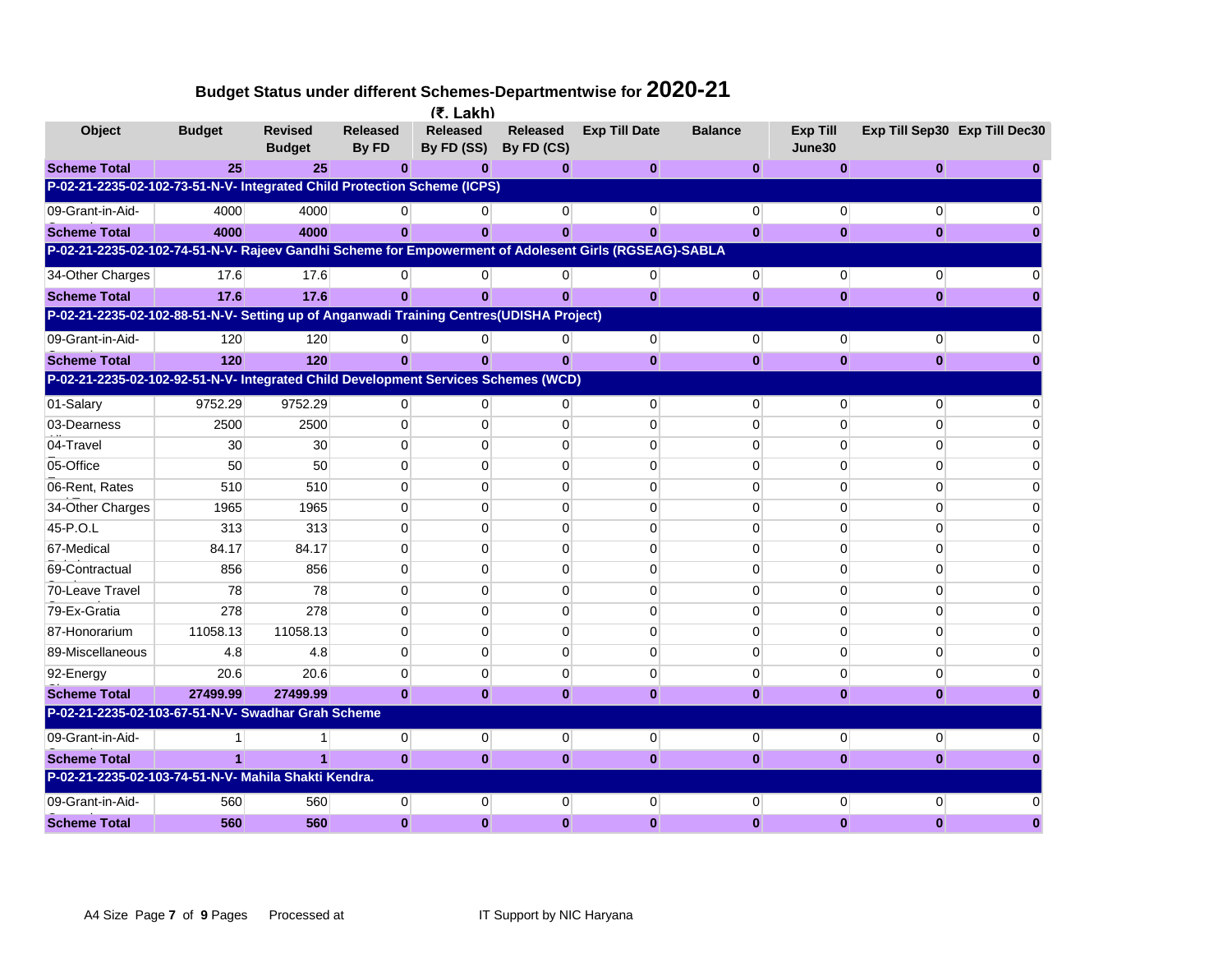| Budget Status under different Schemes-Departmentwise for $\bf 2020$ - $\bf 21$ |  |  |
|--------------------------------------------------------------------------------|--|--|
|--------------------------------------------------------------------------------|--|--|

|                                                                                                       |               |                                 |                          | $(5.$ Lakh)                   |                               |                      |                |                    |                |                               |
|-------------------------------------------------------------------------------------------------------|---------------|---------------------------------|--------------------------|-------------------------------|-------------------------------|----------------------|----------------|--------------------|----------------|-------------------------------|
| Object                                                                                                | <b>Budget</b> | <b>Revised</b><br><b>Budget</b> | <b>Released</b><br>By FD | <b>Released</b><br>By FD (SS) | <b>Released</b><br>By FD (CS) | <b>Exp Till Date</b> | <b>Balance</b> | Exp Till<br>June30 |                | Exp Till Sep30 Exp Till Dec30 |
| <b>Scheme Total</b>                                                                                   | 25            | 25                              | $\bf{0}$                 | 0                             | $\bf{0}$                      | $\bf{0}$             | 0              | $\bf{0}$           | 0              |                               |
| P-02-21-2235-02-102-73-51-N-V- Integrated Child Protection Scheme (ICPS)                              |               |                                 |                          |                               |                               |                      |                |                    |                |                               |
| 09-Grant-in-Aid-                                                                                      | 4000          | 4000                            |                          | $\Omega$                      | $\overline{0}$                | $\mathbf{0}$         | $\mathbf{0}$   | $\overline{0}$     | 0              |                               |
| <b>Scheme Total</b>                                                                                   | 4000          | 4000                            | $\mathbf{0}$             | $\mathbf{0}$                  | $\mathbf{0}$                  | $\mathbf{0}$         | $\mathbf{0}$   | $\bf{0}$           | $\bf{0}$       |                               |
| P-02-21-2235-02-102-74-51-N-V- Rajeev Gandhi Scheme for Empowerment of Adolesent Girls (RGSEAG)-SABLA |               |                                 |                          |                               |                               |                      |                |                    |                |                               |
| 34-Other Charges                                                                                      | 17.6          | 17.6                            | 0                        | 0                             | 0                             | 0                    | $\overline{0}$ | $\overline{0}$     | $\overline{0}$ |                               |
| <b>Scheme Total</b>                                                                                   | 17.6          | 17.6                            | $\mathbf{0}$             | $\mathbf{0}$                  | $\mathbf{0}$                  | $\mathbf{0}$         | $\mathbf{0}$   | $\bf{0}$           | $\bf{0}$       |                               |
| P-02-21-2235-02-102-88-51-N-V- Setting up of Anganwadi Training Centres(UDISHA Project)               |               |                                 |                          |                               |                               |                      |                |                    |                |                               |
| 09-Grant-in-Aid-                                                                                      | 120           | 120                             | $\overline{0}$           | $\overline{0}$                | $\overline{0}$                | $\overline{0}$       | $\overline{0}$ | $\overline{0}$     | $\mathbf{0}$   |                               |
| <b>Scheme Total</b>                                                                                   | 120           | 120                             | $\mathbf{0}$             | $\mathbf{0}$                  | $\mathbf{0}$                  | $\mathbf{0}$         | $\bf{0}$       | $\bf{0}$           | $\bf{0}$       |                               |
| P-02-21-2235-02-102-92-51-N-V- Integrated Child Development Services Schemes (WCD)                    |               |                                 |                          |                               |                               |                      |                |                    |                |                               |
| 01-Salary                                                                                             | 9752.29       | 9752.29                         | 0                        | $\Omega$                      | $\Omega$                      | $\overline{0}$       | $\overline{0}$ | $\overline{0}$     | $\Omega$       |                               |
| 03-Dearness                                                                                           | 2500          | 2500                            | $\Omega$                 | $\Omega$                      | $\Omega$                      | $\overline{0}$       | $\Omega$       | $\Omega$           | $\Omega$       |                               |
| 04-Travel                                                                                             | 30            | 30                              | $\Omega$                 | $\Omega$                      | $\Omega$                      | $\Omega$             | $\Omega$       | $\Omega$           | $\Omega$       |                               |
| 05-Office                                                                                             | 50            | 50                              | 0                        | $\Omega$                      | $\Omega$                      | $\overline{0}$       | $\mathbf{0}$   | $\mathbf{0}$       | 0              | 0                             |
| 06-Rent, Rates                                                                                        | 510           | 510                             | $\Omega$                 | $\Omega$                      | $\Omega$                      | $\overline{0}$       | $\Omega$       | $\Omega$           | $\Omega$       | 0                             |
| 34-Other Charges                                                                                      | 1965          | 1965                            | $\Omega$                 | $\Omega$                      | $\Omega$                      | $\Omega$             | $\Omega$       | $\Omega$           | $\Omega$       | n                             |
| 45-P.O.L                                                                                              | 313           | 313                             | $\Omega$                 | $\Omega$                      | $\Omega$                      | $\Omega$             | $\Omega$       | $\Omega$           | $\Omega$       |                               |
| 67-Medical                                                                                            | 84.17         | 84.17                           | $\Omega$                 | $\Omega$                      | $\Omega$                      | $\Omega$             | $\Omega$       | $\mathbf 0$        | $\Omega$       | 0                             |
| 69-Contractual                                                                                        | 856           | 856                             | $\Omega$                 | $\Omega$                      | $\Omega$                      | $\overline{0}$       | $\Omega$       | $\Omega$           | $\Omega$       |                               |
| 70-Leave Travel                                                                                       | 78            | 78                              | $\Omega$                 | $\Omega$                      | $\Omega$                      | $\Omega$             | $\Omega$       | $\Omega$           | $\Omega$       |                               |
| 79-Ex-Gratia                                                                                          | 278           | 278                             | $\Omega$                 | 0                             | 0                             | $\overline{0}$       | $\mathbf{0}$   | $\mathbf 0$        | $\Omega$       |                               |
| 87-Honorarium                                                                                         | 11058.13      | 11058.13                        | $\Omega$                 | $\Omega$                      | $\Omega$                      | $\overline{0}$       | $\Omega$       | $\Omega$           | $\Omega$       |                               |
| 89-Miscellaneous                                                                                      | 4.8           | 4.8                             | 0                        | $\Omega$                      | $\Omega$                      | $\Omega$             | $\Omega$       | $\Omega$           | 0              |                               |
| 92-Energy                                                                                             | 20.6          | 20.6                            | $\Omega$                 | $\Omega$                      | $\Omega$                      | $\overline{0}$       | $\mathbf{0}$   | $\overline{0}$     | $\Omega$       |                               |
| <b>Scheme Total</b>                                                                                   | 27499.99      | 27499.99                        | $\mathbf{0}$             | $\mathbf{0}$                  | $\mathbf{0}$                  | $\mathbf{0}$         | $\bf{0}$       | $\bf{0}$           | 0              |                               |
| P-02-21-2235-02-103-67-51-N-V- Swadhar Grah Scheme                                                    |               |                                 |                          |                               |                               |                      |                |                    |                |                               |
| 09-Grant-in-Aid-                                                                                      |               |                                 | $\overline{0}$           | $\overline{0}$                | $\overline{0}$                | $\overline{0}$       | $\overline{0}$ | $\overline{0}$     | $\mathbf 0$    |                               |
| <b>Scheme Total</b>                                                                                   | 1             |                                 | $\mathbf{0}$             | $\mathbf{0}$                  | $\mathbf{0}$                  | $\mathbf{0}$         | $\bf{0}$       | $\bf{0}$           | $\bf{0}$       |                               |
| P-02-21-2235-02-103-74-51-N-V- Mahila Shakti Kendra.                                                  |               |                                 |                          |                               |                               |                      |                |                    |                |                               |
| 09-Grant-in-Aid-                                                                                      | 560           | 560                             | $\overline{0}$           | 0                             | 0                             | $\mathbf 0$          | $\overline{0}$ | $\overline{0}$     | $\Omega$       |                               |
| <b>Scheme Total</b>                                                                                   | 560           | 560                             | $\mathbf{0}$             | $\bf{0}$                      | $\bf{0}$                      | $\bf{0}$             | $\bf{0}$       | $\bf{0}$           | $\bf{0}$       |                               |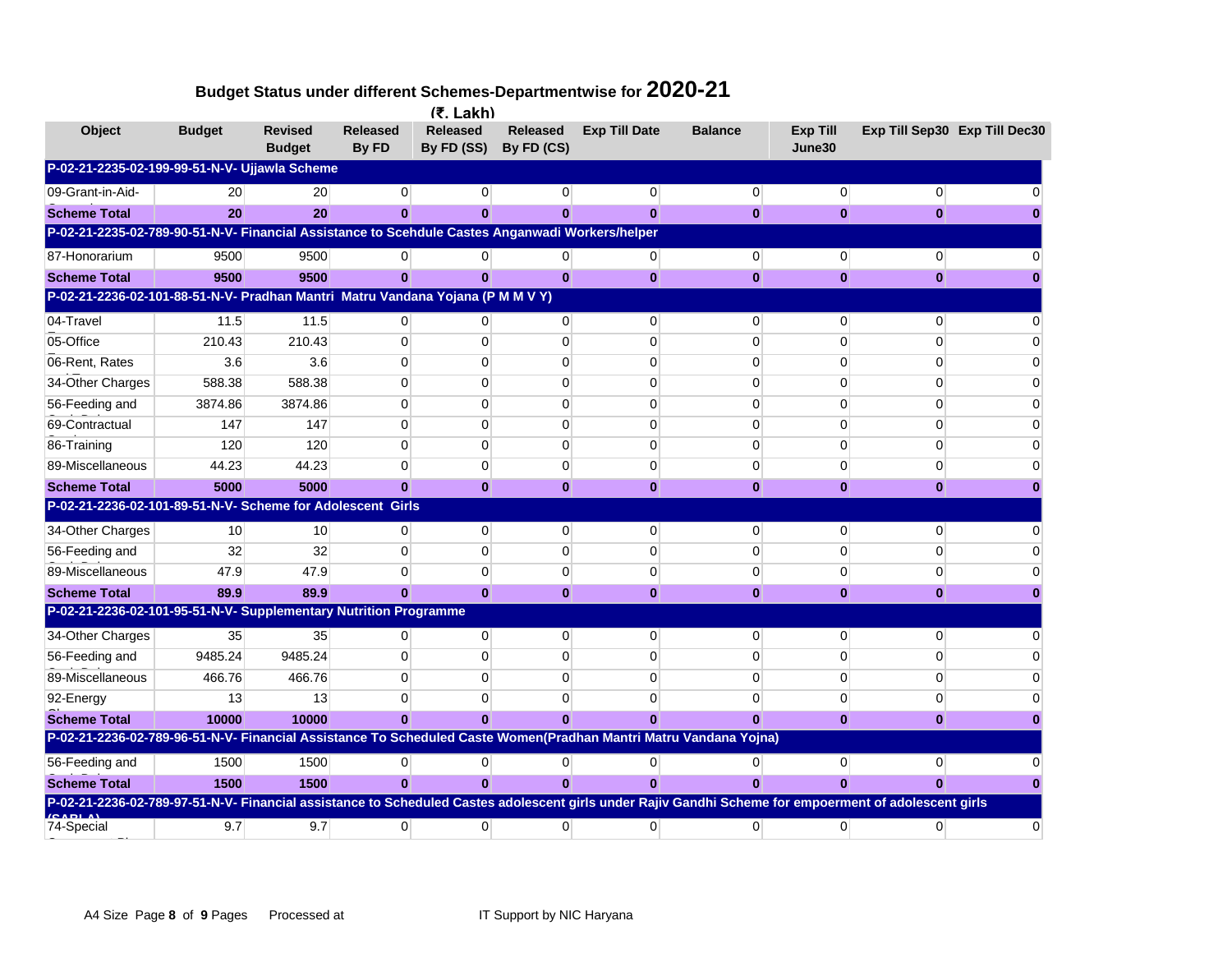|                                                                                                                                                       |                 |                                 |                          | $(5.$ Lakh)            |                               |                      |                |                           |                |                               |
|-------------------------------------------------------------------------------------------------------------------------------------------------------|-----------------|---------------------------------|--------------------------|------------------------|-------------------------------|----------------------|----------------|---------------------------|----------------|-------------------------------|
| Object                                                                                                                                                | <b>Budget</b>   | <b>Revised</b><br><b>Budget</b> | <b>Released</b><br>By FD | Released<br>By FD (SS) | <b>Released</b><br>By FD (CS) | <b>Exp Till Date</b> | <b>Balance</b> | <b>Exp Till</b><br>June30 |                | Exp Till Sep30 Exp Till Dec30 |
| P-02-21-2235-02-199-99-51-N-V- Ujjawla Scheme                                                                                                         |                 |                                 |                          |                        |                               |                      |                |                           |                |                               |
| 09-Grant-in-Aid-                                                                                                                                      | 20              | 20                              | $\Omega$                 | $\overline{0}$         | 0                             | $\overline{0}$       | $\mathbf 0$    | $\mathbf 0$               | $\overline{0}$ |                               |
| <b>Scheme Total</b>                                                                                                                                   | 20              | 20                              |                          | $\bf{0}$               | $\bf{0}$                      | $\bf{0}$             | $\bf{0}$       | $\bf{0}$                  | 0              |                               |
| P-02-21-2235-02-789-90-51-N-V- Financial Assistance to Scehdule Castes Anganwadi Workers/helper                                                       |                 |                                 |                          |                        |                               |                      |                |                           |                |                               |
| 87-Honorarium                                                                                                                                         | 9500            | 9500                            | $\overline{0}$           | 0                      | $\overline{0}$                | $\overline{0}$       | $\overline{0}$ | $\mathbf{0}$              | $\overline{0}$ |                               |
| <b>Scheme Total</b>                                                                                                                                   | 9500            | 9500                            | $\bf{0}$                 | $\bf{0}$               | $\bf{0}$                      | $\bf{0}$             | $\bf{0}$       | $\bf{0}$                  | $\bf{0}$       |                               |
| P-02-21-2236-02-101-88-51-N-V- Pradhan Mantri Matru Vandana Yojana (P M M V Y)                                                                        |                 |                                 |                          |                        |                               |                      |                |                           |                |                               |
| 04-Travel                                                                                                                                             | 11.5            | 11.5                            | $\Omega$                 | $\Omega$               | $\Omega$                      | $\Omega$             | $\Omega$       | $\Omega$                  | $\Omega$       |                               |
| 05-Office                                                                                                                                             | 210.43          | 210.43                          | $\Omega$                 | $\Omega$               | $\Omega$                      | $\Omega$             | $\Omega$       | $\Omega$                  | $\Omega$       |                               |
| 06-Rent, Rates                                                                                                                                        | 3.6             | 3.6                             | $\Omega$                 | $\Omega$               | $\Omega$                      | 0                    | $\Omega$       | $\Omega$                  | $\Omega$       |                               |
| 34-Other Charges                                                                                                                                      | 588.38          | 588.38                          | $\Omega$                 | $\Omega$               | $\Omega$                      | 0                    | $\Omega$       | $\Omega$                  | $\Omega$       |                               |
| 56-Feeding and                                                                                                                                        | 3874.86         | 3874.86                         | 0                        | 0                      | 0                             | 0                    | $\mathbf 0$    | 0                         | 0              |                               |
| 69-Contractual                                                                                                                                        | 147             | 147                             | 0                        | 0                      | 0                             | 0                    | 0              | $\mathbf 0$               | 0              |                               |
| 86-Training                                                                                                                                           | 120             | 120                             | $\mathbf{0}$             | $\mathbf{0}$           | $\mathbf 0$                   | $\mathbf 0$          | $\mathbf{0}$   | $\mathbf 0$               | $\Omega$       |                               |
| 89-Miscellaneous                                                                                                                                      | 44.23           | 44.23                           | $\Omega$                 | $\overline{0}$         | $\mathbf 0$                   | 0                    | $\mathbf{0}$   | 0                         | 0              |                               |
| <b>Scheme Total</b>                                                                                                                                   | 5000            | 5000                            | $\bf{0}$                 | $\bf{0}$               | $\mathbf{0}$                  | $\bf{0}$             | $\bf{0}$       | $\bf{0}$                  | $\bf{0}$       |                               |
| P-02-21-2236-02-101-89-51-N-V- Scheme for Adolescent Girls                                                                                            |                 |                                 |                          |                        |                               |                      |                |                           |                |                               |
| 34-Other Charges                                                                                                                                      | 10 <sup>1</sup> | 10                              | $\overline{0}$           | $\mathbf{0}$           | $\mathbf 0$                   | $\mathbf 0$          | $\overline{0}$ | 0                         | $\Omega$       |                               |
| 56-Feeding and                                                                                                                                        | 32              | 32                              | $\Omega$                 | $\Omega$               | $\Omega$                      | 0                    | $\Omega$       | $\Omega$                  | $\Omega$       |                               |
| 89-Miscellaneous                                                                                                                                      | 47.9            | 47.9                            | $\Omega$                 | $\Omega$               | 0                             | 0                    | $\mathbf 0$    | 0                         | 0              |                               |
| <b>Scheme Total</b>                                                                                                                                   | 89.9            | 89.9                            | $\mathbf{0}$             | $\mathbf{0}$           | $\mathbf{0}$                  | $\mathbf{0}$         | $\mathbf{0}$   | $\mathbf{0}$              | $\mathbf{0}$   |                               |
| P-02-21-2236-02-101-95-51-N-V- Supplementary Nutrition Programme                                                                                      |                 |                                 |                          |                        |                               |                      |                |                           |                |                               |
| 34-Other Charges                                                                                                                                      | 35              | 35                              | $\overline{0}$           | $\overline{0}$         | 0                             | 0                    | $\overline{0}$ | 0                         | $\Omega$       |                               |
| 56-Feeding and                                                                                                                                        | 9485.24         | 9485.24                         | $\Omega$                 | $\mathbf{0}$           | $\mathbf 0$                   | 0                    | $\mathbf 0$    | $\mathbf 0$               | $\Omega$       |                               |
| 89-Miscellaneous                                                                                                                                      | 466.76          | 466.76                          | $\Omega$                 | $\Omega$               | $\Omega$                      | $\mathbf 0$          | $\Omega$       | $\mathbf 0$               | $\Omega$       |                               |
| 92-Energy                                                                                                                                             | 13              | 13                              | $\Omega$                 | $\Omega$               | $\Omega$                      | 0                    | $\Omega$       | $\mathbf 0$               | $\Omega$       |                               |
| <b>Scheme Total</b>                                                                                                                                   | 10000           | 10000                           | $\Omega$                 | $\Omega$               | $\Omega$                      | $\bf{0}$             | $\Omega$       | $\bf{0}$                  | 0              |                               |
| P-02-21-2236-02-789-96-51-N-V- Financial Assistance To Scheduled Caste Women(Pradhan Mantri Matru Vandana Yojna)                                      |                 |                                 |                          |                        |                               |                      |                |                           |                |                               |
| 56-Feeding and                                                                                                                                        | 1500            | 1500                            | $\overline{0}$           | $\overline{0}$         | $\overline{0}$                | $\overline{0}$       | $\overline{0}$ | $\overline{0}$            | $\Omega$       |                               |
| <b>Scheme Total</b>                                                                                                                                   | 1500            | 1500                            | $\bf{0}$                 | $\bf{0}$               | $\mathbf{0}$                  | $\bf{0}$             | $\Omega$       | $\Omega$                  |                |                               |
| P-02-21-2236-02-789-97-51-N-V- Financial assistance to Scheduled Castes adolescent girls under Rajiv Gandhi Scheme for empoerment of adolescent girls |                 |                                 |                          |                        |                               |                      |                |                           |                |                               |
| 74-Special                                                                                                                                            | 9.7             | 9.7                             | $\Omega$                 | $\Omega$               | $\Omega$                      | $\Omega$             | $\Omega$       | $\Omega$                  | $\Omega$       | O                             |